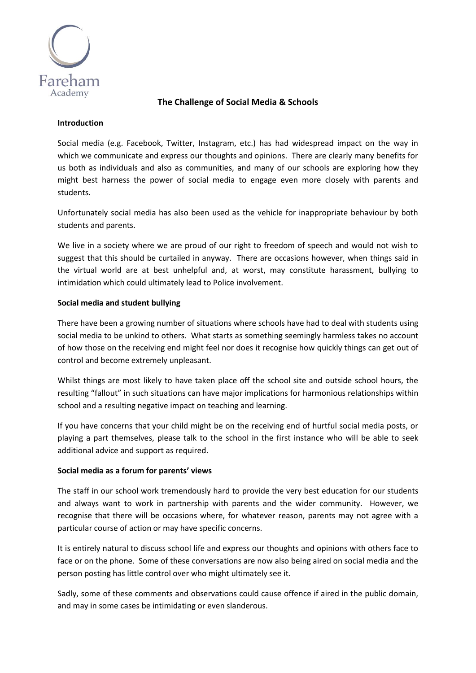

# **The Challenge of Social Media & Schools**

### **Introduction**

Social media (e.g. Facebook, Twitter, Instagram, etc.) has had widespread impact on the way in which we communicate and express our thoughts and opinions. There are clearly many benefits for us both as individuals and also as communities, and many of our schools are exploring how they might best harness the power of social media to engage even more closely with parents and students.

Unfortunately social media has also been used as the vehicle for inappropriate behaviour by both students and parents.

We live in a society where we are proud of our right to freedom of speech and would not wish to suggest that this should be curtailed in anyway. There are occasions however, when things said in the virtual world are at best unhelpful and, at worst, may constitute harassment, bullying to intimidation which could ultimately lead to Police involvement.

# **Social media and student bullying**

There have been a growing number of situations where schools have had to deal with students using social media to be unkind to others. What starts as something seemingly harmless takes no account of how those on the receiving end might feel nor does it recognise how quickly things can get out of control and become extremely unpleasant.

Whilst things are most likely to have taken place off the school site and outside school hours, the resulting "fallout" in such situations can have major implications for harmonious relationships within school and a resulting negative impact on teaching and learning.

If you have concerns that your child might be on the receiving end of hurtful social media posts, or playing a part themselves, please talk to the school in the first instance who will be able to seek additional advice and support as required.

# **Social media as a forum for parents' views**

The staff in our school work tremendously hard to provide the very best education for our students and always want to work in partnership with parents and the wider community. However, we recognise that there will be occasions where, for whatever reason, parents may not agree with a particular course of action or may have specific concerns.

It is entirely natural to discuss school life and express our thoughts and opinions with others face to face or on the phone. Some of these conversations are now also being aired on social media and the person posting has little control over who might ultimately see it.

Sadly, some of these comments and observations could cause offence if aired in the public domain, and may in some cases be intimidating or even slanderous.